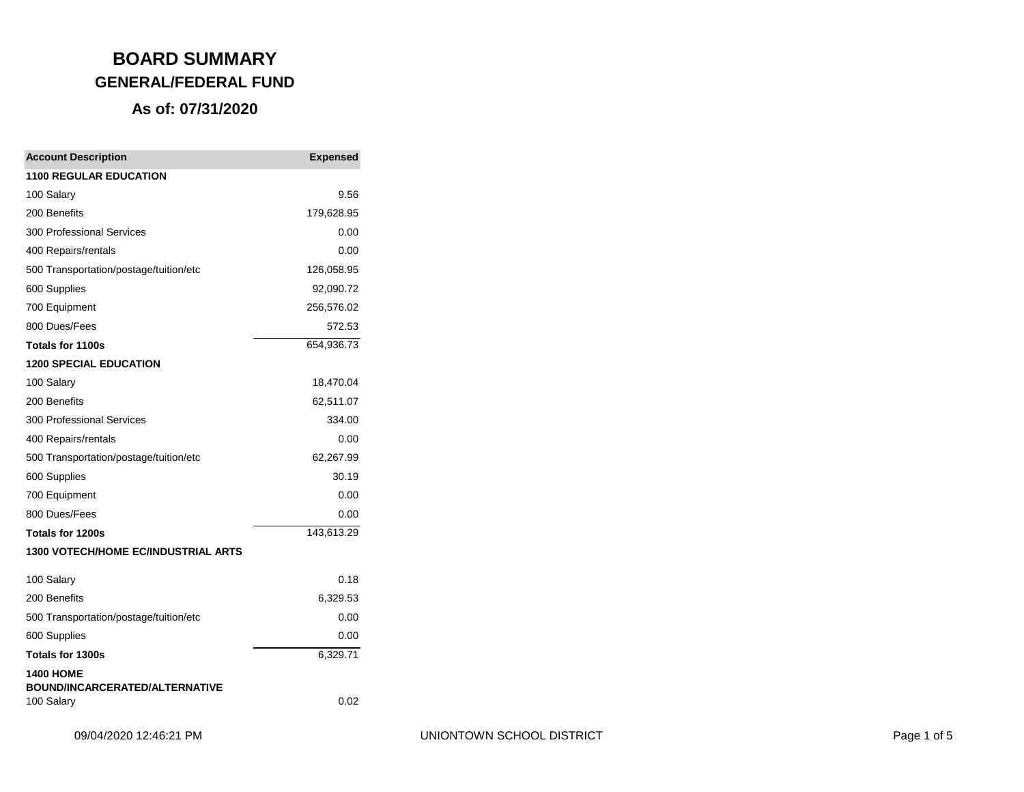| <b>Account Description</b>                          | <b>Expensed</b> |
|-----------------------------------------------------|-----------------|
| <b>1100 REGULAR EDUCATION</b>                       |                 |
| 100 Salary                                          | 9.56            |
| 200 Benefits                                        | 179,628.95      |
| 300 Professional Services                           | 0.00            |
| 400 Repairs/rentals                                 | 0.00            |
| 500 Transportation/postage/tuition/etc              | 126,058.95      |
| 600 Supplies                                        | 92,090.72       |
| 700 Equipment                                       | 256,576.02      |
| 800 Dues/Fees                                       | 572.53          |
| Totals for 1100s                                    | 654,936.73      |
| <b>1200 SPECIAL EDUCATION</b>                       |                 |
| 100 Salary                                          | 18,470.04       |
| 200 Benefits                                        | 62,511.07       |
| 300 Professional Services                           | 334.00          |
| 400 Repairs/rentals                                 | 0.00            |
| 500 Transportation/postage/tuition/etc              | 62,267.99       |
| 600 Supplies                                        | 30.19           |
| 700 Equipment                                       | 0.00            |
| 800 Dues/Fees                                       | 0.00            |
| Totals for 1200s                                    | 143,613.29      |
| 1300 VOTECH/HOME EC/INDUSTRIAL ARTS                 |                 |
| 100 Salary                                          | 0.18            |
| 200 Benefits                                        | 6,329.53        |
| 500 Transportation/postage/tuition/etc              | 0.00            |
| 600 Supplies                                        | 0.00            |
| Totals for 1300s                                    | 6,329.71        |
| <b>1400 HOME</b>                                    |                 |
| <b>BOUND/INCARCERATED/ALTERNATIVE</b><br>100 Salary | 0.02            |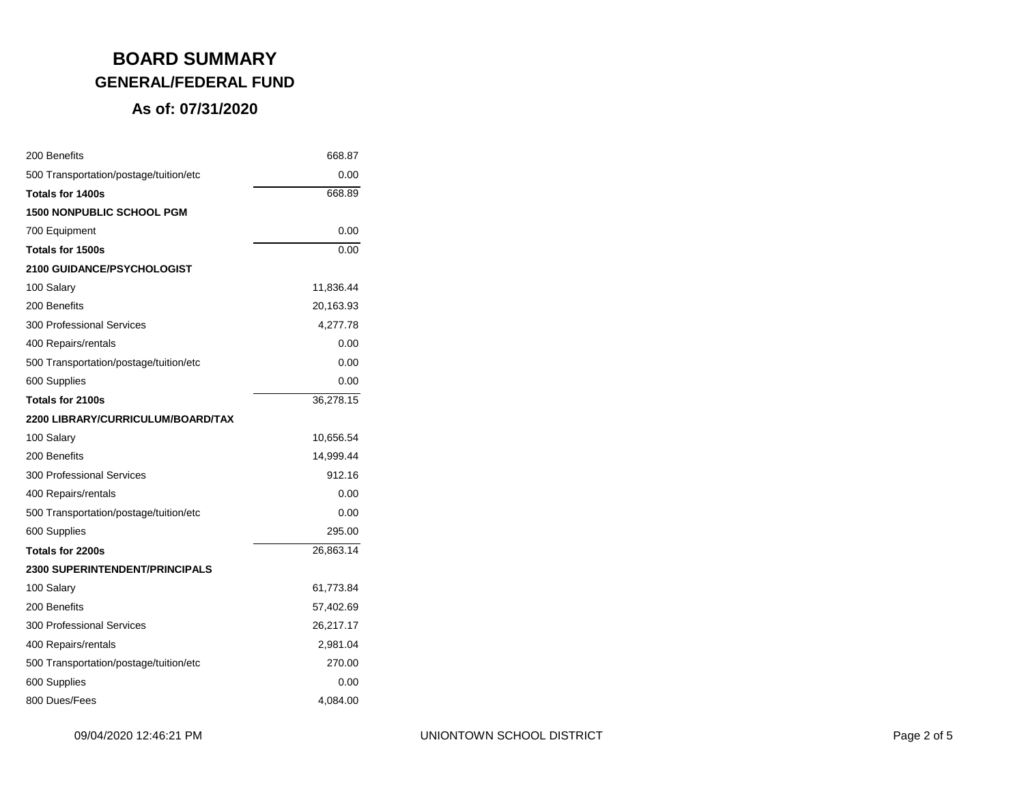| 200 Benefits                           | 668.87    |
|----------------------------------------|-----------|
| 500 Transportation/postage/tuition/etc | 0.00      |
| Totals for 1400s                       | 668.89    |
| <b>1500 NONPUBLIC SCHOOL PGM</b>       |           |
| 700 Equipment                          | 0.00      |
| Totals for 1500s                       | 0.00      |
| <b>2100 GUIDANCE/PSYCHOLOGIST</b>      |           |
| 100 Salary                             | 11,836.44 |
| 200 Benefits                           | 20,163.93 |
| <b>300 Professional Services</b>       | 4,277.78  |
| 400 Repairs/rentals                    | 0.00      |
| 500 Transportation/postage/tuition/etc | 0.00      |
| 600 Supplies                           | 0.00      |
| Totals for 2100s                       | 36,278.15 |
| 2200 LIBRARY/CURRICULUM/BOARD/TAX      |           |
| 100 Salary                             | 10,656.54 |
| 200 Benefits                           | 14,999.44 |
| <b>300 Professional Services</b>       | 912.16    |
| 400 Repairs/rentals                    | 0.00      |
| 500 Transportation/postage/tuition/etc | 0.00      |
| 600 Supplies                           | 295.00    |
| Totals for 2200s                       | 26,863.14 |
| <b>2300 SUPERINTENDENT/PRINCIPALS</b>  |           |
| 100 Salary                             | 61,773.84 |
| 200 Benefits                           | 57,402.69 |
| <b>300 Professional Services</b>       | 26,217.17 |
| 400 Repairs/rentals                    | 2,981.04  |
| 500 Transportation/postage/tuition/etc | 270.00    |
| 600 Supplies                           | 0.00      |
| 800 Dues/Fees                          | 4,084.00  |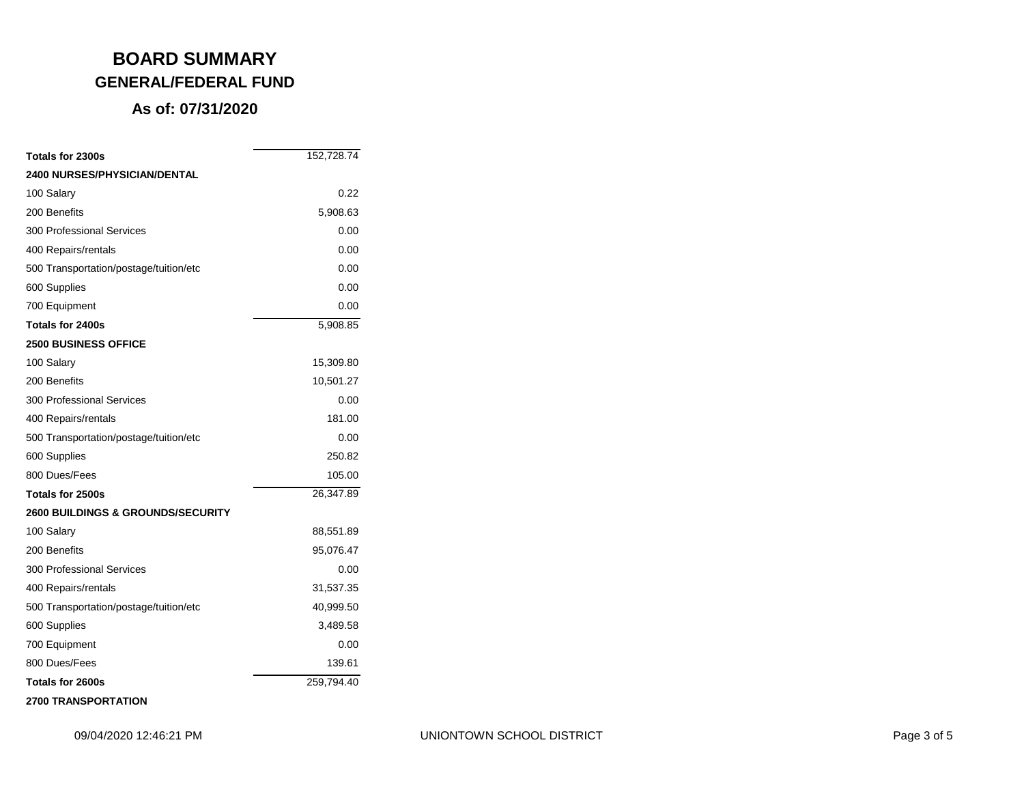| Totals for 2300s                             | 152,728.74 |
|----------------------------------------------|------------|
| <b>2400 NURSES/PHYSICIAN/DENTAL</b>          |            |
| 100 Salary                                   | 0.22       |
| 200 Benefits                                 | 5,908.63   |
| 300 Professional Services                    | 0.00       |
| 400 Repairs/rentals                          | 0.00       |
| 500 Transportation/postage/tuition/etc       | 0.00       |
| 600 Supplies                                 | 0.00       |
| 700 Equipment                                | 0.00       |
| Totals for 2400s                             | 5,908.85   |
| <b>2500 BUSINESS OFFICE</b>                  |            |
| 100 Salary                                   | 15,309.80  |
| 200 Benefits                                 | 10,501.27  |
| 300 Professional Services                    | 0.00       |
| 400 Repairs/rentals                          | 181.00     |
| 500 Transportation/postage/tuition/etc       | 0.00       |
| 600 Supplies                                 | 250.82     |
| 800 Dues/Fees                                | 105.00     |
| Totals for 2500s                             | 26,347.89  |
| <b>2600 BUILDINGS &amp; GROUNDS/SECURITY</b> |            |
| 100 Salary                                   | 88,551.89  |
| 200 Benefits                                 | 95,076.47  |
| 300 Professional Services                    | 0.00       |
| 400 Repairs/rentals                          | 31,537.35  |
| 500 Transportation/postage/tuition/etc       | 40,999.50  |
| 600 Supplies                                 | 3,489.58   |
| 700 Equipment                                | 0.00       |
| 800 Dues/Fees                                | 139.61     |
| Totals for 2600s                             | 259,794.40 |
| <b>2700 TRANSPORTATION</b>                   |            |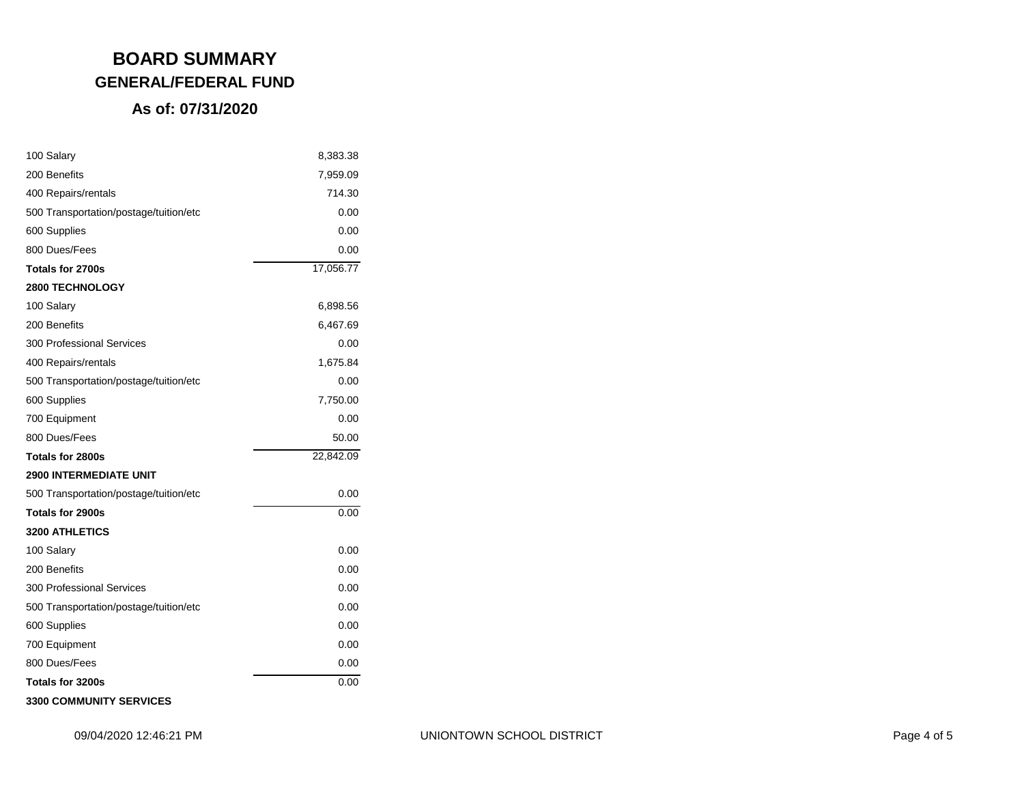### **As of: 07/31/2020**

| 100 Salary                             | 8,383.38  |
|----------------------------------------|-----------|
| 200 Benefits                           | 7,959.09  |
| 400 Repairs/rentals                    | 714.30    |
| 500 Transportation/postage/tuition/etc | 0.00      |
| 600 Supplies                           | 0.00      |
| 800 Dues/Fees                          | 0.00      |
| Totals for 2700s                       | 17,056.77 |
| <b>2800 TECHNOLOGY</b>                 |           |
| 100 Salary                             | 6,898.56  |
| 200 Benefits                           | 6,467.69  |
| 300 Professional Services              | 0.00      |
| 400 Repairs/rentals                    | 1,675.84  |
| 500 Transportation/postage/tuition/etc | 0.00      |
| 600 Supplies                           | 7,750.00  |
| 700 Equipment                          | 0.00      |
| 800 Dues/Fees                          | 50.00     |
| Totals for 2800s                       | 22,842.09 |
| <b>2900 INTERMEDIATE UNIT</b>          |           |
| 500 Transportation/postage/tuition/etc | 0.00      |
| Totals for 2900s                       | 0.00      |
| <b>3200 ATHLETICS</b>                  |           |
| 100 Salary                             | 0.00      |
| 200 Benefits                           | 0.00      |
| <b>300 Professional Services</b>       | 0.00      |
| 500 Transportation/postage/tuition/etc | 0.00      |
| 600 Supplies                           | 0.00      |
| 700 Equipment                          | 0.00      |
| 800 Dues/Fees                          | 0.00      |
| Totals for 3200s                       | 0.00      |
|                                        |           |

**3300 COMMUNITY SERVICES**